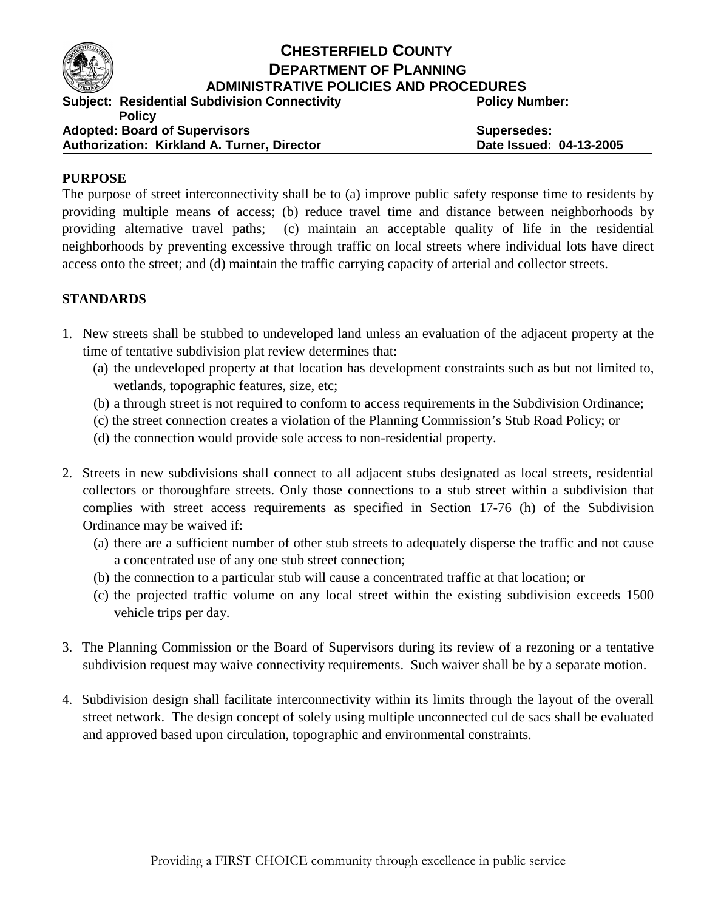

## **CHESTERFIELD COUNTY DEPARTMENT OF PLANNING ADMINISTRATIVE POLICIES AND PROCEDURES**

**Subject: Residential Subdivision Connectivity** 

**Policy Number:** 

**Policy Adopted: Board of Supervisors Authorization: Kirkland A. Turner, Director**

**Supersedes: Date Issued: 04-13-2005**

## **PURPOSE**

The purpose of street interconnectivity shall be to (a) improve public safety response time to residents by providing multiple means of access; (b) reduce travel time and distance between neighborhoods by providing alternative travel paths; (c) maintain an acceptable quality of life in the residential neighborhoods by preventing excessive through traffic on local streets where individual lots have direct access onto the street; and (d) maintain the traffic carrying capacity of arterial and collector streets.

## **STANDARDS**

- 1. New streets shall be stubbed to undeveloped land unless an evaluation of the adjacent property at the time of tentative subdivision plat review determines that:
	- (a) the undeveloped property at that location has development constraints such as but not limited to, wetlands, topographic features, size, etc;
	- (b) a through street is not required to conform to access requirements in the Subdivision Ordinance;
	- (c) the street connection creates a violation of the Planning Commission's Stub Road Policy; or
	- (d) the connection would provide sole access to non-residential property.
- 2. Streets in new subdivisions shall connect to all adjacent stubs designated as local streets, residential collectors or thoroughfare streets. Only those connections to a stub street within a subdivision that complies with street access requirements as specified in Section 17-76 (h) of the Subdivision Ordinance may be waived if:
	- (a) there are a sufficient number of other stub streets to adequately disperse the traffic and not cause a concentrated use of any one stub street connection;
	- (b) the connection to a particular stub will cause a concentrated traffic at that location; or
	- (c) the projected traffic volume on any local street within the existing subdivision exceeds 1500 vehicle trips per day.
- 3. The Planning Commission or the Board of Supervisors during its review of a rezoning or a tentative subdivision request may waive connectivity requirements. Such waiver shall be by a separate motion.
- 4. Subdivision design shall facilitate interconnectivity within its limits through the layout of the overall street network. The design concept of solely using multiple unconnected cul de sacs shall be evaluated and approved based upon circulation, topographic and environmental constraints.